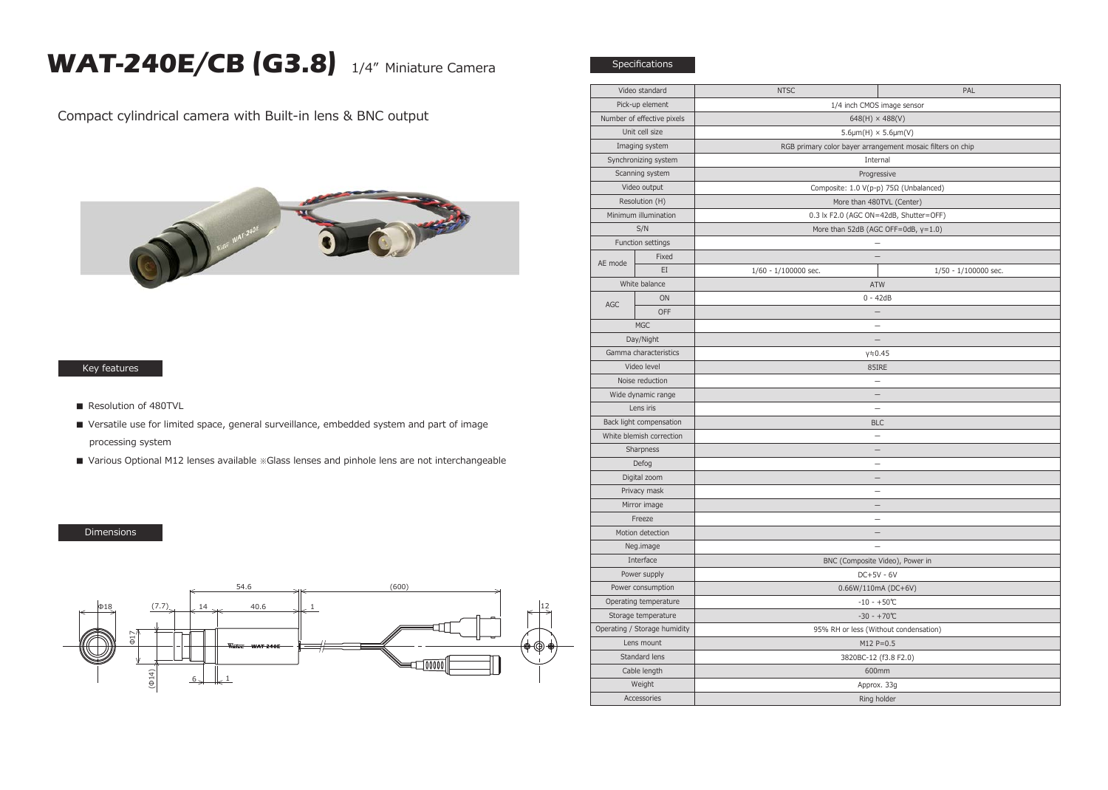## **WAT-240E/CB (G3.8)** 1/4" Miniature Camera

**Specifications** 

Compact cylindrical camera with Built-in lens & BNC output



## Key features

- Resolution of 480TVL
- Versatile use for limited space, general surveillance, embedded system and part of image processing system
- Various Optional M12 lenses available ※Glass lenses and pinhole lens are not interchangeable

## Dimensions



| Video standard               |       | <b>NTSC</b>                                                | PAL                  |
|------------------------------|-------|------------------------------------------------------------|----------------------|
| Pick-up element              |       | 1/4 inch CMOS image sensor                                 |                      |
| Number of effective pixels   |       | $648(H) \times 488(V)$                                     |                      |
| Unit cell size               |       | $5.6 \mu m(H) \times 5.6 \mu m(V)$                         |                      |
| Imaging system               |       | RGB primary color bayer arrangement mosaic filters on chip |                      |
| Synchronizing system         |       | Internal                                                   |                      |
| Scanning system              |       | Progressive                                                |                      |
| Video output                 |       | Composite: 1.0 V(p-p) 75Ω (Unbalanced)                     |                      |
| Resolution (H)               |       | More than 480TVL (Center)                                  |                      |
| Minimum illumination         |       | 0.3 lx F2.0 (AGC ON=42dB, Shutter=OFF)                     |                      |
| S/N                          |       | More than 52dB (AGC OFF=0dB, y=1.0)                        |                      |
| Function settings            |       |                                                            |                      |
| AE mode                      | Fixed |                                                            |                      |
|                              | EI    | 1/60 - 1/100000 sec.                                       | 1/50 - 1/100000 sec. |
| White balance                |       | <b>ATW</b>                                                 |                      |
| <b>AGC</b>                   | ON    | $0 - 42dB$                                                 |                      |
|                              | OFF   |                                                            |                      |
| <b>MGC</b>                   |       |                                                            |                      |
| Day/Night                    |       | $\equiv$                                                   |                      |
| Gamma characteristics        |       | $y = 0.45$                                                 |                      |
| Video level                  |       | 85IRE                                                      |                      |
| Noise reduction              |       |                                                            |                      |
| Wide dynamic range           |       | 2                                                          |                      |
| Lens iris                    |       | $\equiv$                                                   |                      |
| Back light compensation      |       | <b>BLC</b>                                                 |                      |
| White blemish correction     |       | $\equiv$                                                   |                      |
| Sharpness                    |       |                                                            |                      |
| Defog                        |       |                                                            |                      |
| Digital zoom                 |       | $\qquad \qquad -$                                          |                      |
| Privacy mask                 |       | $\equiv$                                                   |                      |
| Mirror image                 |       |                                                            |                      |
| Freeze                       |       |                                                            |                      |
| Motion detection             |       |                                                            |                      |
| Neg.image                    |       | $\overline{\phantom{0}}$                                   |                      |
| Interface                    |       | BNC (Composite Video), Power in                            |                      |
| Power supply                 |       | $DC+5V - 6V$                                               |                      |
| Power consumption            |       | $0.66W/110mA (DC+6V)$                                      |                      |
| Operating temperature        |       | $-10 - +50$ °C                                             |                      |
| Storage temperature          |       | $-30 - +70$ °C                                             |                      |
| Operating / Storage humidity |       | 95% RH or less (Without condensation)                      |                      |
| Lens mount                   |       | $M12 P = 0.5$                                              |                      |
| Standard lens                |       | 3820BC-12 (f3.8 F2.0)                                      |                      |
| Cable length                 |       | 600mm                                                      |                      |
| Weight                       |       | Approx. 33g                                                |                      |
| Accessories                  |       | Ring holder                                                |                      |
|                              |       |                                                            |                      |